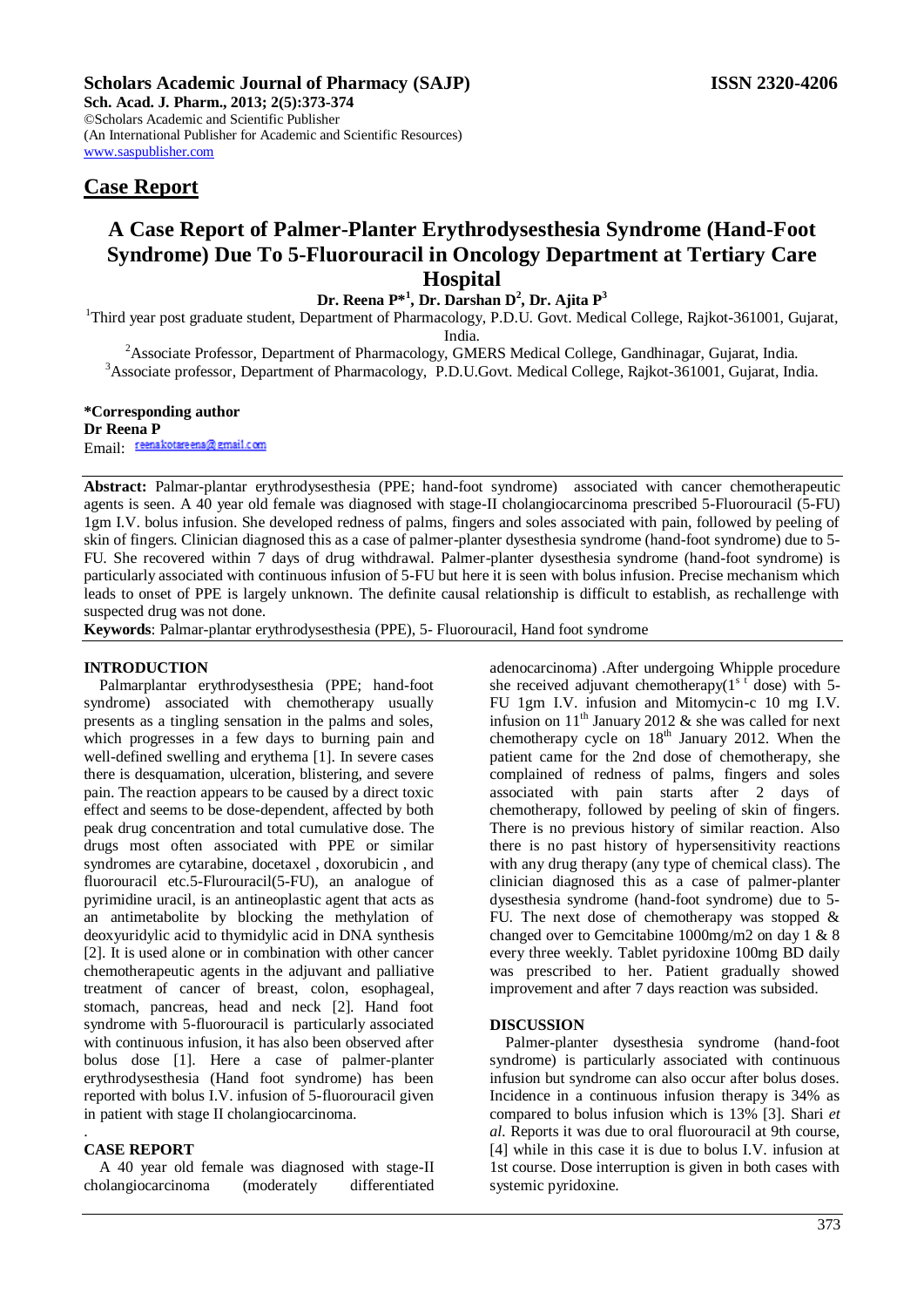**Sch. Acad. J. Pharm., 2013; 2(5):373-374** ©Scholars Academic and Scientific Publisher (An International Publisher for Academic and Scientific Resources) [www.saspublisher.com](http://www.saspublisher.com/) 

# **Case Report**

# **A Case Report of Palmer-Planter Erythrodysesthesia Syndrome (Hand-Foot Syndrome) Due To 5-Fluorouracil in Oncology Department at Tertiary Care Hospital**

## **Dr. Reena P\*<sup>1</sup> , Dr. Darshan D<sup>2</sup> , Dr. Ajita P<sup>3</sup>**

<sup>1</sup>Third year post graduate student, Department of Pharmacology, P.D.U. Govt. Medical College, Rajkot-361001, Gujarat, India.

<sup>2</sup> Associate Professor, Department of Pharmacology, GMERS Medical College, Gandhinagar, Gujarat, India. <sup>3</sup>Associate professor, Department of Pharmacology, P.D.U.Govt. Medical College, Rajkot-361001, Gujarat, India.

#### **\*Corresponding author Dr Reena P**

Email: reenakotare ena@gmail.com

**Abstract:** Palmar-plantar erythrodysesthesia (PPE; hand-foot syndrome) associated with cancer chemotherapeutic agents is seen. A 40 year old female was diagnosed with stage-II cholangiocarcinoma prescribed 5-Fluorouracil (5-FU) 1gm I.V. bolus infusion. She developed redness of palms, fingers and soles associated with pain, followed by peeling of skin of fingers. Clinician diagnosed this as a case of palmer-planter dysesthesia syndrome (hand-foot syndrome) due to 5- FU. She recovered within 7 days of drug withdrawal. Palmer-planter dysesthesia syndrome (hand-foot syndrome) is particularly associated with continuous infusion of 5-FU but here it is seen with bolus infusion. Precise mechanism which leads to onset of PPE is largely unknown. The definite causal relationship is difficult to establish, as rechallenge with suspected drug was not done.

**Keywords**: Palmar-plantar erythrodysesthesia (PPE), 5- Fluorouracil, Hand foot syndrome

#### **INTRODUCTION**

Palmarplantar erythrodysesthesia (PPE; hand-foot syndrome) associated with chemotherapy usually presents as a tingling sensation in the palms and soles, which progresses in a few days to burning pain and well-defined swelling and erythema [1]. In severe cases there is desquamation, ulceration, blistering, and severe pain. The reaction appears to be caused by a direct toxic effect and seems to be dose-dependent, affected by both peak drug concentration and total cumulative dose. The drugs most often associated with PPE or similar syndromes are cytarabine, docetaxel , doxorubicin , and fluorouracil etc.5-Flurouracil(5-FU), an analogue of pyrimidine uracil, is an antineoplastic agent that acts as an antimetabolite by blocking the methylation of deoxyuridylic acid to thymidylic acid in DNA synthesis [2]. It is used alone or in combination with other cancer chemotherapeutic agents in the adjuvant and palliative treatment of cancer of breast, colon, esophageal, stomach, pancreas, head and neck [2]. Hand foot syndrome with 5-fluorouracil is particularly associated with continuous infusion, it has also been observed after bolus dose [1]. Here a case of palmer-planter erythrodysesthesia (Hand foot syndrome) has been reported with bolus I.V. infusion of 5-fluorouracil given in patient with stage II cholangiocarcinoma.

#### . **CASE REPORT**

A 40 year old female was diagnosed with stage-II cholangiocarcinoma (moderately differentiated

adenocarcinoma) .After undergoing Whipple procedure she received adjuvant chemotherapy( $1<sup>s</sup>$ <sup>t</sup> dose) with 5-FU 1gm I.V. infusion and Mitomycin-c 10 mg I.V. infusion on  $11<sup>th</sup>$  January 2012 & she was called for next chemotherapy cycle on  $18<sup>th</sup>$  January 2012. When the patient came for the 2nd dose of chemotherapy, she complained of redness of palms, fingers and soles associated with pain starts after 2 days of chemotherapy, followed by peeling of skin of fingers. There is no previous history of similar reaction. Also there is no past history of hypersensitivity reactions with any drug therapy (any type of chemical class). The clinician diagnosed this as a case of palmer-planter dysesthesia syndrome (hand-foot syndrome) due to 5- FU. The next dose of chemotherapy was stopped  $\&$ changed over to Gemcitabine 1000mg/m2 on day 1 & 8 every three weekly. Tablet pyridoxine 100mg BD daily was prescribed to her. Patient gradually showed improvement and after 7 days reaction was subsided.

#### **DISCUSSION**

Palmer-planter dysesthesia syndrome (hand-foot syndrome) is particularly associated with continuous infusion but syndrome can also occur after bolus doses. Incidence in a continuous infusion therapy is 34% as compared to bolus infusion which is 13% [3]. Shari *et al.* Reports it was due to oral fluorouracil at 9th course, [4] while in this case it is due to bolus I.V. infusion at 1st course. Dose interruption is given in both cases with systemic pyridoxine.